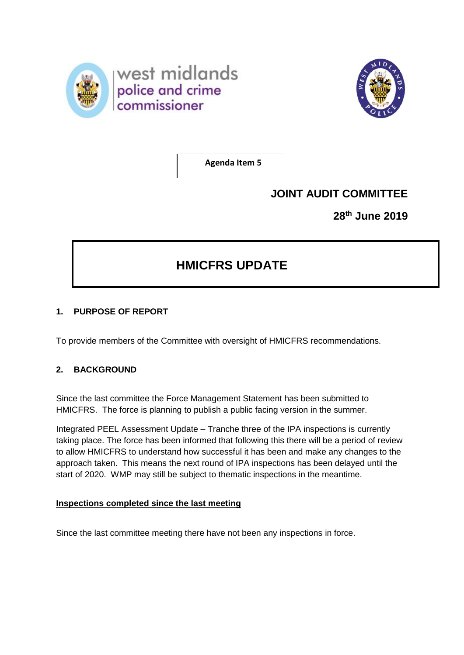



**Agenda Item 5**

## **JOINT AUDIT COMMITTEE**

**28th June 2019**

# **HMICFRS UPDATE**

## **1. PURPOSE OF REPORT**

To provide members of the Committee with oversight of HMICFRS recommendations.

## **2. BACKGROUND**

Since the last committee the Force Management Statement has been submitted to HMICFRS. The force is planning to publish a public facing version in the summer.

Integrated PEEL Assessment Update – Tranche three of the IPA inspections is currently taking place. The force has been informed that following this there will be a period of review to allow HMICFRS to understand how successful it has been and make any changes to the approach taken. This means the next round of IPA inspections has been delayed until the start of 2020. WMP may still be subject to thematic inspections in the meantime.

## **Inspections completed since the last meeting**

Since the last committee meeting there have not been any inspections in force.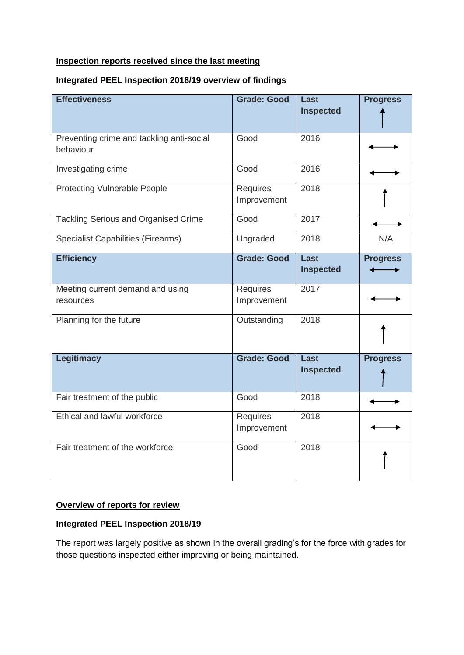#### **Inspection reports received since the last meeting**

#### **Integrated PEEL Inspection 2018/19 overview of findings**

| <b>Effectiveness</b>                                   | <b>Grade: Good</b>             | Last<br><b>Inspected</b> | <b>Progress</b> |
|--------------------------------------------------------|--------------------------------|--------------------------|-----------------|
| Preventing crime and tackling anti-social<br>behaviour | Good                           | 2016                     |                 |
| Investigating crime                                    | Good                           | 2016                     |                 |
| <b>Protecting Vulnerable People</b>                    | <b>Requires</b><br>Improvement | 2018                     |                 |
| <b>Tackling Serious and Organised Crime</b>            | Good                           | 2017                     |                 |
| <b>Specialist Capabilities (Firearms)</b>              | Ungraded                       | 2018                     | N/A             |
| <b>Efficiency</b>                                      | <b>Grade: Good</b>             | Last<br><b>Inspected</b> | <b>Progress</b> |
| Meeting current demand and using<br>resources          | Requires<br>Improvement        | 2017                     |                 |
| Planning for the future                                | Outstanding                    | 2018                     |                 |
| <b>Legitimacy</b>                                      | <b>Grade: Good</b>             | Last<br><b>Inspected</b> | <b>Progress</b> |
| Fair treatment of the public                           | Good                           | 2018                     |                 |
| Ethical and lawful workforce                           | Requires<br>Improvement        | 2018                     |                 |
| Fair treatment of the workforce                        | Good                           | 2018                     |                 |

#### **Overview of reports for review**

## **Integrated PEEL Inspection 2018/19**

The report was largely positive as shown in the overall grading's for the force with grades for those questions inspected either improving or being maintained.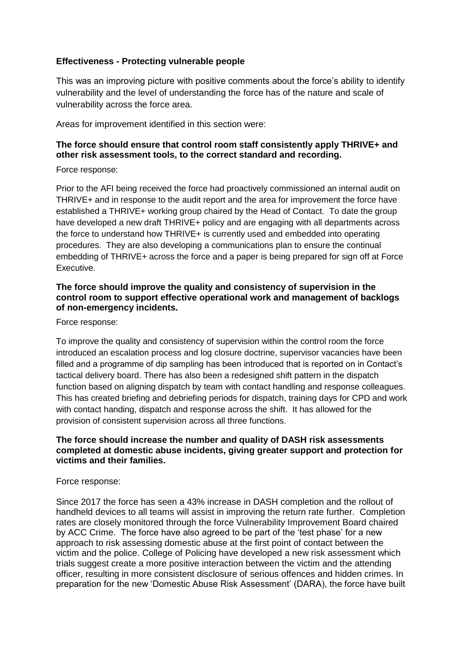### **Effectiveness - Protecting vulnerable people**

This was an improving picture with positive comments about the force's ability to identify vulnerability and the level of understanding the force has of the nature and scale of vulnerability across the force area.

Areas for improvement identified in this section were:

## **The force should ensure that control room staff consistently apply THRIVE+ and other risk assessment tools, to the correct standard and recording.**

#### Force response:

Prior to the AFI being received the force had proactively commissioned an internal audit on THRIVE+ and in response to the audit report and the area for improvement the force have established a THRIVE+ working group chaired by the Head of Contact. To date the group have developed a new draft THRIVE+ policy and are engaging with all departments across the force to understand how THRIVE+ is currently used and embedded into operating procedures. They are also developing a communications plan to ensure the continual embedding of THRIVE+ across the force and a paper is being prepared for sign off at Force Executive.

#### **The force should improve the quality and consistency of supervision in the control room to support effective operational work and management of backlogs of non-emergency incidents.**

Force response:

To improve the quality and consistency of supervision within the control room the force introduced an escalation process and log closure doctrine, supervisor vacancies have been filled and a programme of dip sampling has been introduced that is reported on in Contact's tactical delivery board. There has also been a redesigned shift pattern in the dispatch function based on aligning dispatch by team with contact handling and response colleagues. This has created briefing and debriefing periods for dispatch, training days for CPD and work with contact handing, dispatch and response across the shift. It has allowed for the provision of consistent supervision across all three functions.

#### **The force should increase the number and quality of DASH risk assessments completed at domestic abuse incidents, giving greater support and protection for victims and their families.**

#### Force response:

Since 2017 the force has seen a 43% increase in DASH completion and the rollout of handheld devices to all teams will assist in improving the return rate further. Completion rates are closely monitored through the force Vulnerability Improvement Board chaired by ACC Crime. The force have also agreed to be part of the 'test phase' for a new approach to risk assessing domestic abuse at the first point of contact between the victim and the police. College of Policing have developed a new risk assessment which trials suggest create a more positive interaction between the victim and the attending officer, resulting in more consistent disclosure of serious offences and hidden crimes. In preparation for the new 'Domestic Abuse Risk Assessment' (DARA), the force have built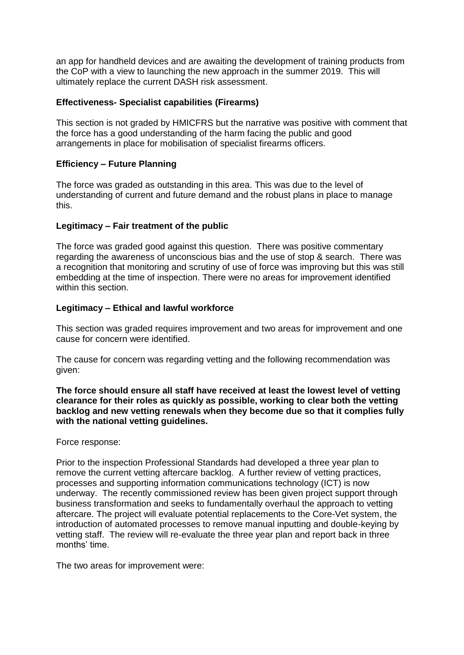an app for handheld devices and are awaiting the development of training products from the CoP with a view to launching the new approach in the summer 2019. This will ultimately replace the current DASH risk assessment.

## **Effectiveness- Specialist capabilities (Firearms)**

This section is not graded by HMICFRS but the narrative was positive with comment that the force has a good understanding of the harm facing the public and good arrangements in place for mobilisation of specialist firearms officers.

#### **Efficiency – Future Planning**

The force was graded as outstanding in this area. This was due to the level of understanding of current and future demand and the robust plans in place to manage this.

#### **Legitimacy – Fair treatment of the public**

The force was graded good against this question. There was positive commentary regarding the awareness of unconscious bias and the use of stop & search. There was a recognition that monitoring and scrutiny of use of force was improving but this was still embedding at the time of inspection. There were no areas for improvement identified within this section.

#### **Legitimacy – Ethical and lawful workforce**

This section was graded requires improvement and two areas for improvement and one cause for concern were identified.

The cause for concern was regarding vetting and the following recommendation was given:

**The force should ensure all staff have received at least the lowest level of vetting clearance for their roles as quickly as possible, working to clear both the vetting backlog and new vetting renewals when they become due so that it complies fully with the national vetting guidelines.** 

Force response:

Prior to the inspection Professional Standards had developed a three year plan to remove the current vetting aftercare backlog. A further review of vetting practices, processes and supporting information communications technology (ICT) is now underway. The recently commissioned review has been given project support through business transformation and seeks to fundamentally overhaul the approach to vetting aftercare. The project will evaluate potential replacements to the Core-Vet system, the introduction of automated processes to remove manual inputting and double-keying by vetting staff. The review will re-evaluate the three year plan and report back in three months' time.

The two areas for improvement were: